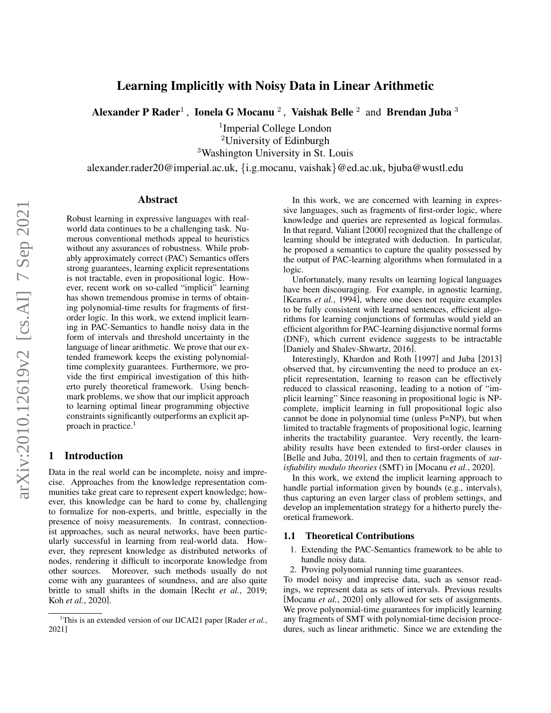# Learning Implicitly with Noisy Data in Linear Arithmetic

Alexander P Rader<sup>1</sup> , Ionela G Mocanu <sup>2</sup> , Vaishak Belle <sup>2</sup> and Brendan Juba <sup>3</sup>

1 Imperial College London <sup>2</sup>University of Edinburgh

<sup>3</sup>Washington University in St. Louis

alexander.rader20@imperial.ac.uk, {i.g.mocanu, vaishak}@ed.ac.uk, bjuba@wustl.edu

#### Abstract

Robust learning in expressive languages with realworld data continues to be a challenging task. Numerous conventional methods appeal to heuristics without any assurances of robustness. While probably approximately correct (PAC) Semantics offers strong guarantees, learning explicit representations is not tractable, even in propositional logic. However, recent work on so-called "implicit" learning has shown tremendous promise in terms of obtaining polynomial-time results for fragments of firstorder logic. In this work, we extend implicit learning in PAC-Semantics to handle noisy data in the form of intervals and threshold uncertainty in the language of linear arithmetic. We prove that our extended framework keeps the existing polynomialtime complexity guarantees. Furthermore, we provide the first empirical investigation of this hitherto purely theoretical framework. Using benchmark problems, we show that our implicit approach to learning optimal linear programming objective constraints significantly outperforms an explicit ap-proach in practice.<sup>[1](#page-0-0)</sup>

#### 1 Introduction

Data in the real world can be incomplete, noisy and imprecise. Approaches from the knowledge representation communities take great care to represent expert knowledge; however, this knowledge can be hard to come by, challenging to formalize for non-experts, and brittle, especially in the presence of noisy measurements. In contrast, connectionist approaches, such as neural networks, have been particularly successful in learning from real-world data. However, they represent knowledge as distributed networks of nodes, rendering it difficult to incorporate knowledge from other sources. Moreover, such methods usually do not come with any guarantees of soundness, and are also quite brittle to small shifts in the domain [Recht *et al.*[, 2019;](#page-7-0) Koh *et al.*[, 2020\]](#page-7-1).

In this work, we are concerned with learning in expressive languages, such as fragments of first-order logic, where knowledge and queries are represented as logical formulas. In that regard, Valiant [\[2000\]](#page-7-3) recognized that the challenge of learning should be integrated with deduction. In particular, he proposed a semantics to capture the quality possessed by the output of PAC-learning algorithms when formulated in a logic.

Unfortunately, many results on learning logical languages have been discouraging. For example, in agnostic learning, [\[Kearns](#page-7-4) *et al.*, 1994], where one does not require examples to be fully consistent with learned sentences, efficient algorithms for learning conjunctions of formulas would yield an efficient algorithm for PAC-learning disjunctive normal forms (DNF), which current evidence suggests to be intractable [\[Daniely and Shalev-Shwartz, 2016\]](#page-7-5).

Interestingly, Khardon and Roth [\[1997\]](#page-7-6) and Juba [\[2013\]](#page-7-7) observed that, by circumventing the need to produce an explicit representation, learning to reason can be effectively reduced to classical reasoning, leading to a notion of "implicit learning" Since reasoning in propositional logic is NPcomplete, implicit learning in full propositional logic also cannot be done in polynomial time (unless P=NP), but when limited to tractable fragments of propositional logic, learning inherits the tractability guarantee. Very recently, the learnability results have been extended to first-order clauses in [\[Belle and Juba, 2019\]](#page-7-8), and then to certain fragments of *satisfiability modulo theories* (SMT) in [\[Mocanu](#page-7-9) *et al.*, 2020].

In this work, we extend the implicit learning approach to handle partial information given by bounds (e.g., intervals), thus capturing an even larger class of problem settings, and develop an implementation strategy for a hitherto purely theoretical framework.

#### 1.1 Theoretical Contributions

- 1. Extending the PAC-Semantics framework to be able to handle noisy data.
- 2. Proving polynomial running time guarantees.

To model noisy and imprecise data, such as sensor readings, we represent data as sets of intervals. Previous results [\[Mocanu](#page-7-9) *et al.*, 2020] only allowed for sets of assignments. We prove polynomial-time guarantees for implicitly learning any fragments of SMT with polynomial-time decision procedures, such as linear arithmetic. Since we are extending the

<span id="page-0-0"></span><sup>&</sup>lt;sup>1</sup>This is an extended version of our IJCAI21 paper [\[Rader](#page-7-2) *et al.*, [2021\]](#page-7-2)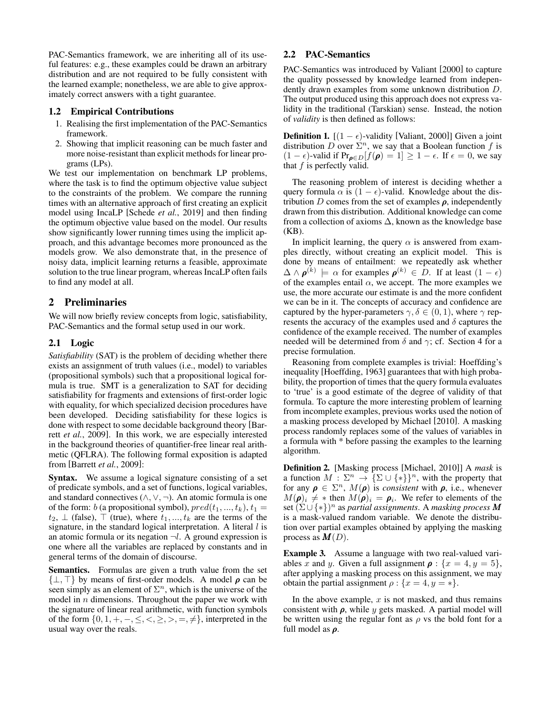PAC-Semantics framework, we are inheriting all of its useful features: e.g., these examples could be drawn an arbitrary distribution and are not required to be fully consistent with the learned example; nonetheless, we are able to give approximately correct answers with a tight guarantee.

#### 1.2 Empirical Contributions

- 1. Realising the first implementation of the PAC-Semantics framework.
- 2. Showing that implicit reasoning can be much faster and more noise-resistant than explicit methods for linear programs (LPs).

We test our implementation on benchmark LP problems, where the task is to find the optimum objective value subject to the constraints of the problem. We compare the running times with an alternative approach of first creating an explicit model using IncaLP [\[Schede](#page-7-10) *et al.*, 2019] and then finding the optimum objective value based on the model. Our results show significantly lower running times using the implicit approach, and this advantage becomes more pronounced as the models grow. We also demonstrate that, in the presence of noisy data, implicit learning returns a feasible, approximate solution to the true linear program, whereas IncaLP often fails to find any model at all.

## 2 Preliminaries

We will now briefly review concepts from logic, satisfiability, PAC-Semantics and the formal setup used in our work.

#### 2.1 Logic

*Satisfiability* (SAT) is the problem of deciding whether there exists an assignment of truth values (i.e., model) to variables (propositional symbols) such that a propositional logical formula is true. SMT is a generalization to SAT for deciding satisfiability for fragments and extensions of first-order logic with equality, for which specialized decision procedures have been developed. Deciding satisfiability for these logics is done with respect to some decidable background theory [\[Bar](#page-7-11)rett *et al.*[, 2009\]](#page-7-11). In this work, we are especially interested in the background theories of quantifier-free linear real arithmetic (QFLRA). The following formal exposition is adapted from [\[Barrett](#page-7-11) *et al.*, 2009]:

Syntax. We assume a logical signature consisting of a set of predicate symbols, and a set of functions, logical variables, and standard connectives  $(\wedge, \vee, \neg)$ . An atomic formula is one of the form: b (a propositional symbol),  $pred(t_1, ..., t_k), t_1 =$  $t_2, \perp$  (false),  $\top$  (true), where  $t_1, \ldots, t_k$  are the terms of the signature, in the standard logical interpretation. A literal  $l$  is an atomic formula or its negation  $\neg l$ . A ground expression is one where all the variables are replaced by constants and in general terms of the domain of discourse.

Semantics. Formulas are given a truth value from the set  $\{\perp, \perp\}$  by means of first-order models. A model  $\rho$  can be seen simply as an element of  $\Sigma<sup>n</sup>$ , which is the universe of the model in  $n$  dimensions. Throughout the paper we work with the signature of linear real arithmetic, with function symbols of the form  $\{0, 1, +, -, \leq, <, \geq, >, =, \neq\}$ , interpreted in the usual way over the reals.

#### 2.2 PAC-Semantics

PAC-Semantics was introduced by Valiant [\[2000\]](#page-7-3) to capture the quality possessed by knowledge learned from independently drawn examples from some unknown distribution D. The output produced using this approach does not express validity in the traditional (Tarskian) sense. Instead, the notion of *validity* is then defined as follows:

**Definition 1.** [ $(1 - \epsilon)$ -validity [\[Valiant, 2000\]](#page-7-3)] Given a joint distribution D over  $\Sigma^n$ , we say that a Boolean function f is  $(1 - \epsilon)$ -valid if Pr<sub> $\rho \in D[f(\rho) = 1] \ge 1 - \epsilon$ . If  $\epsilon = 0$ , we say</sub> that  $f$  is perfectly valid.

The reasoning problem of interest is deciding whether a query formula  $\alpha$  is  $(1 - \epsilon)$ -valid. Knowledge about the distribution D comes from the set of examples  $\rho$ , independently drawn from this distribution. Additional knowledge can come from a collection of axioms  $\Delta$ , known as the knowledge base (KB).

In implicit learning, the query  $\alpha$  is answered from examples directly, without creating an explicit model. This is done by means of entailment: we repeatedly ask whether  $\Delta \wedge \rho^{(k)} \models \alpha$  for examples  $\rho^{(k)} \in D$ . If at least  $(1 - \epsilon)$ of the examples entail  $\alpha$ , we accept. The more examples we use, the more accurate our estimate is and the more confident we can be in it. The concepts of accuracy and confidence are captured by the hyper-parameters  $\gamma, \delta \in (0, 1)$ , where  $\gamma$  represents the accuracy of the examples used and  $\delta$  captures the confidence of the example received. The number of examples needed will be determined from  $\delta$  and  $\gamma$ ; cf. Section [4](#page-2-0) for a precise formulation.

Reasoning from complete examples is trivial: Hoeffding's inequality [\[Hoeffding, 1963\]](#page-7-12) guarantees that with high probability, the proportion of times that the query formula evaluates to 'true' is a good estimate of the degree of validity of that formula. To capture the more interesting problem of learning from incomplete examples, previous works used the notion of a masking process developed by Michael [\[2010\]](#page-7-13). A masking process randomly replaces some of the values of variables in a formula with \* before passing the examples to the learning algorithm.

Definition 2. [Masking process [\[Michael, 2010\]](#page-7-13)] A *mask* is a function  $M : \Sigma^n \to {\{\Sigma \cup \{\ast\}}\}^n$ , with the property that for any  $\rho \in \Sigma^n$ ,  $M(\rho)$  is *consistent* with  $\rho$ , i.e., whenever  $M(\boldsymbol{\rho})_i \neq *$  then  $M(\boldsymbol{\rho})_i = \boldsymbol{\rho}_i$ . We refer to elements of the set (Σ ∪ {∗}) <sup>n</sup> as *partial assignments*. A *masking process* M is a mask-valued random variable. We denote the distribution over partial examples obtained by applying the masking process as  $M(D)$ .

Example 3. Assume a language with two real-valued variables x and y. Given a full assignment  $\rho$  :  $\{x = 4, y = 5\},\$ after applying a masking process on this assignment, we may obtain the partial assignment  $\rho$  :  $\{x = 4, y = *\}.$ 

In the above example,  $x$  is not masked, and thus remains consistent with  $\rho$ , while y gets masked. A partial model will be written using the regular font as  $\rho$  vs the bold font for a full model as  $\rho$ .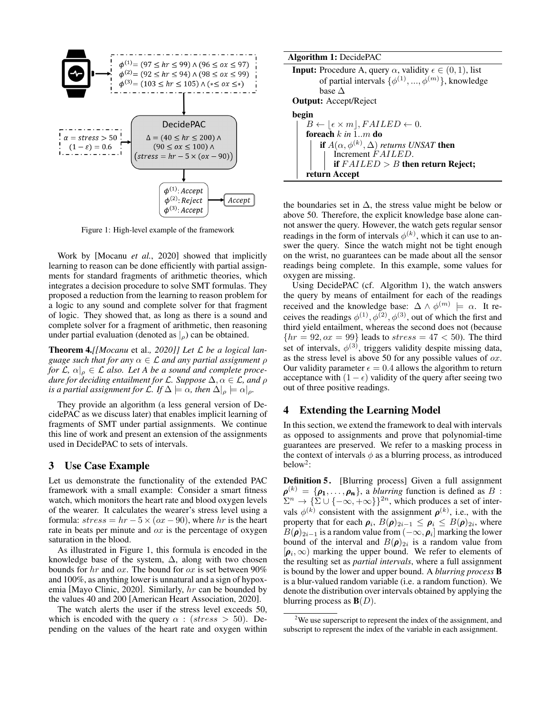<span id="page-2-1"></span>

Figure 1: High-level example of the framework

Work by [\[Mocanu](#page-7-9) *et al.*, 2020] showed that implicitly learning to reason can be done efficiently with partial assignments for standard fragments of arithmetic theories, which integrates a decision procedure to solve SMT formulas. They proposed a reduction from the learning to reason problem for a logic to any sound and complete solver for that fragment of logic. They showed that, as long as there is a sound and complete solver for a fragment of arithmetic, then reasoning under partial evaluation (denoted as  $|_0$ ) can be obtained.

Theorem 4.*[[\[Mocanu](#page-7-9)* et al.*, 2020]] Let* L *be a logical language such that for any*  $\alpha \in \mathcal{L}$  *and any partial assignment*  $\rho$ *for*  $\mathcal{L}, \alpha|_{\rho} \in \mathcal{L}$  also. Let A be a sound and complete proce*dure for deciding entailment for* L*. Suppose* ∆, α ∈ L*, and* ρ *is a partial assignment for*  $\mathcal{L}$ *. If*  $\Delta \models \alpha$ *, then*  $\Delta|_{\rho} \models \alpha|_{\rho}$ *.* 

They provide an algorithm (a less general version of DecidePAC as we discuss later) that enables implicit learning of fragments of SMT under partial assignments. We continue this line of work and present an extension of the assignments used in DecidePAC to sets of intervals.

#### 3 Use Case Example

Let us demonstrate the functionality of the extended PAC framework with a small example: Consider a smart fitness watch, which monitors the heart rate and blood oxygen levels of the wearer. It calculates the wearer's stress level using a formula:  $stress = hr - 5 \times (ox - 90)$ , where hr is the heart rate in beats per minute and  $\alpha x$  is the percentage of oxygen saturation in the blood.

As illustrated in Figure [1,](#page-2-1) this formula is encoded in the knowledge base of the system,  $\Delta$ , along with two chosen bounds for  $hr$  and  $ox$ . The bound for  $ox$  is set between 90% and 100%, as anything lower is unnatural and a sign of hypoxemia [\[Mayo Clinic, 2020\]](#page-7-14). Similarly, hr can be bounded by the values 40 and 200 [\[American Heart Association, 2020\]](#page-7-15).

The watch alerts the user if the stress level exceeds 50, which is encoded with the query  $\alpha$  : (stress  $> 50$ ). Depending on the values of the heart rate and oxygen within

| <b>Algorithm 1: DecidePAC</b>                                                     |
|-----------------------------------------------------------------------------------|
| <b>Input:</b> Procedure A, query $\alpha$ , validity $\epsilon \in (0, 1)$ , list |
| of partial intervals $\{\phi^{(1)}, , \phi^{(m)}\}$ , knowledge                   |
| base $\Delta$                                                                     |
| <b>Output:</b> Accept/Reject                                                      |
| begin                                                                             |
| $B \leftarrow [\epsilon \times m], \text{FAILED} \leftarrow 0.$                   |
| foreach $k$ in 1. m do                                                            |
| <b>if</b> $A(\alpha, \phi^{(k)}, \Delta)$ returns UNSAT <b>then</b>               |
| Increment FAILED.                                                                 |
| if $FAILED > B$ then return Reject;                                               |
| return Accept                                                                     |
|                                                                                   |

<span id="page-2-2"></span>the boundaries set in  $\Delta$ , the stress value might be below or above 50. Therefore, the explicit knowledge base alone cannot answer the query. However, the watch gets regular sensor readings in the form of intervals  $\phi^{(k)}$ , which it can use to answer the query. Since the watch might not be tight enough on the wrist, no guarantees can be made about all the sensor readings being complete. In this example, some values for oxygen are missing.

Using DecidePAC (cf. Algorithm [1\)](#page-2-2), the watch answers the query by means of entailment for each of the readings received and the knowledge base:  $\Delta \wedge \phi^{(m)} \models \alpha$ . It receives the readings  $\phi^{(1)}$ ,  $\phi^{(2)}$ ,  $\phi^{(3)}$ , out of which the first and third yield entailment, whereas the second does not (because  ${hr = 92, ox = 99}$  leads to  $stress = 47 < 50$ . The third set of intervals,  $\phi^{(3)}$ , triggers validity despite missing data, as the stress level is above 50 for any possible values of  $\alpha x$ . Our validity parameter  $\epsilon = 0.4$  allows the algorithm to return acceptance with  $(1 - \epsilon)$  validity of the query after seeing two out of three positive readings.

### <span id="page-2-0"></span>4 Extending the Learning Model

In this section, we extend the framework to deal with intervals as opposed to assignments and prove that polynomial-time guarantees are preserved. We refer to a masking process in the context of intervals  $\phi$  as a blurring process, as introduced below<sup>[2](#page-2-3)</sup>:

Definition 5. [Blurring process] Given a full assignment  $\rho^{(k)} = {\rho_1, \ldots, \rho_n}$ , a *blurring* function is defined as B :  $\sum^n \to \{\Sigma \cup \{-\infty, +\infty\}\}^{2n}$ , which produces a set of intervals  $\phi^{(k)}$  consistent with the assignment  $\rho^{(k)}$ , i.e., with the property that for each  $\rho_i$ ,  $B(\rho)_{2i-1} \leq \rho_i \leq B(\rho)_{2i}$ , where  $B(\pmb{\rho})_{2i-1}$  is a random value from  $(-\infty, \pmb{\rho}_i]$  marking the lower bound of the interval and  $B(\rho)_{2i}$  is a random value from  $[\rho_i, \infty)$  marking the upper bound. We refer to elements of the resulting set as *partial intervals*, where a full assignment is bound by the lower and upper bound. A *blurring process* B is a blur-valued random variable (i.e. a random function). We denote the distribution over intervals obtained by applying the blurring process as  $\mathbf{B}(D)$ .

<span id="page-2-3"></span><sup>&</sup>lt;sup>2</sup>We use superscript to represent the index of the assignment, and subscript to represent the index of the variable in each assignment.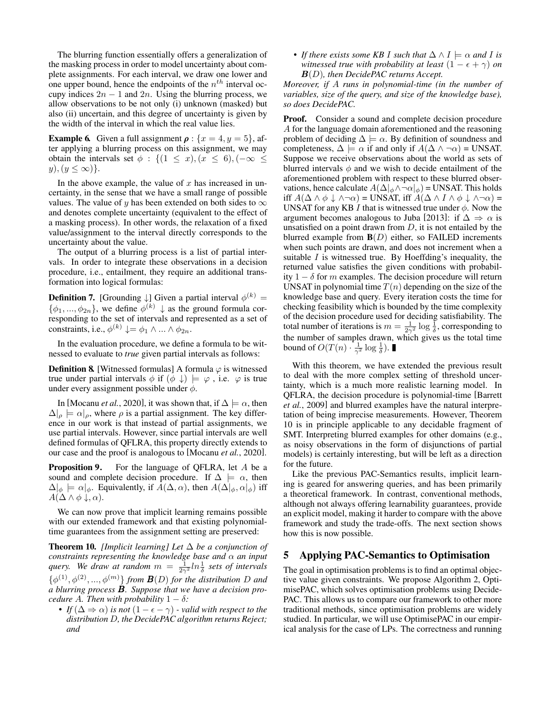The blurring function essentially offers a generalization of the masking process in order to model uncertainty about complete assignments. For each interval, we draw one lower and one upper bound, hence the endpoints of the  $n<sup>th</sup>$  interval occupy indices  $2n - 1$  and  $2n$ . Using the blurring process, we allow observations to be not only (i) unknown (masked) but also (ii) uncertain, and this degree of uncertainty is given by the width of the interval in which the real value lies.

**Example 6.** Given a full assignment  $\rho$  :  $\{x = 4, y = 5\}$ , after applying a blurring process on this assignment, we may obtain the intervals set  $\phi : \{(1 \leq x), (x \leq 6), (-\infty \leq$  $y), (y \leq \infty)$ .

In the above example, the value of  $x$  has increased in uncertainty, in the sense that we have a small range of possible values. The value of y has been extended on both sides to  $\infty$ and denotes complete uncertainty (equivalent to the effect of a masking process). In other words, the relaxation of a fixed value/assignment to the interval directly corresponds to the uncertainty about the value.

The output of a blurring process is a list of partial intervals. In order to integrate these observations in a decision procedure, i.e., entailment, they require an additional transformation into logical formulas:

**Definition 7.** [Grounding  $\downarrow$ ] Given a partial interval  $\phi^{(k)}$  =  $\{\phi_1, ..., \phi_{2n}\}\$ , we define  $\phi^{(k)} \downarrow$  as the ground formula corresponding to the set of intervals and represented as a set of constraints, i.e.,  $\phi^{(k)} \downarrow = \phi_1 \wedge ... \wedge \phi_{2n}$ .

In the evaluation procedure, we define a formula to be witnessed to evaluate to *true* given partial intervals as follows:

**Definition 8.** [Witnessed formulas] A formula  $\varphi$  is witnessed true under partial intervals  $\phi$  if  $(\phi \downarrow) \models \varphi$ , i.e.  $\varphi$  is true under every assignment possible under  $\phi$ .

In [\[Mocanu](#page-7-9) *et al.*, 2020], it was shown that, if  $\Delta \models \alpha$ , then  $\Delta|_{\rho} \models \alpha|_{\rho}$ , where  $\rho$  is a partial assignment. The key difference in our work is that instead of partial assignments, we use partial intervals. However, since partial intervals are well defined formulas of QFLRA, this property directly extends to our case and the proof is analogous to [\[Mocanu](#page-7-9) *et al.*, 2020].

**Proposition 9.** For the language of QFLRA, let A be a sound and complete decision procedure. If  $\Delta \models \alpha$ , then  $\Delta|_{\phi} \models \alpha|_{\phi}$ . Equivalently, if  $A(\Delta, \alpha)$ , then  $A(\Delta|_{\phi}, \alpha|_{\phi})$  iff  $A(\Delta \wedge \phi \downarrow, \alpha).$ 

We can now prove that implicit learning remains possible. with our extended framework and that existing polynomialtime guarantees from the assignment setting are preserved:

<span id="page-3-0"></span>Theorem 10. *[Implicit learning] Let* ∆ *be a conjunction of constraints representing the knowledge base and* α *an input* query. We draw at random  $m = \frac{1}{2\gamma^2} ln \frac{1}{\delta}$  sets of intervals  $\{\phi^{(1)}, \phi^{(2)}, ..., \phi^{(m)}\}$  *from*  $\mathbf{B}(D)$  *for the distribution* D and *a blurring process* B*. Suppose that we have a decision procedure* A. Then with probability  $1 - \delta$ :

• *If*  $(\Delta \Rightarrow \alpha)$  *is not*  $(1 - \epsilon - \gamma)$  *- valid with respect to the distribution* D*, the DecidePAC algorithm returns Reject; and*

• *If there exists some KB I such that*  $\Delta \wedge I \models \alpha$  *and I is witnessed true with probability at least*  $(1 - \epsilon + \gamma)$  *on* B(D)*, then DecidePAC returns Accept.*

*Moreover, if* A *runs in polynomial-time (in the number of variables, size of the query, and size of the knowledge base), so does DecidePAC.*

Proof. Consider a sound and complete decision procedure A for the language domain aforementioned and the reasoning problem of deciding  $\Delta \models \alpha$ . By definition of soundness and completeness,  $\Delta \models \alpha$  if and only if  $A(\Delta \land \neg \alpha)$  = UNSAT. Suppose we receive observations about the world as sets of blurred intervals  $\phi$  and we wish to decide entailment of the aforementioned problem with respect to these blurred observations, hence calculate  $A(\Delta|_{\phi} \wedge \neg \alpha|_{\phi}) =$  UNSAT. This holds iff  $A(\Delta \wedge \phi \downarrow \wedge \neg \alpha)$  = UNSAT, iff  $A(\Delta \wedge I \wedge \phi \downarrow \wedge \neg \alpha)$  = UNSAT for any KB I that is witnessed true under  $\phi$ . Now the argument becomes analogous to Juba [\[2013\]](#page-7-7): if  $\Delta \Rightarrow \alpha$  is unsatisfied on a point drawn from  $D$ , it is not entailed by the blurred example from  $B(D)$  either, so FAILED increments when such points are drawn, and does not increment when a suitable  $I$  is witnessed true. By Hoeffding's inequality, the returned value satisfies the given conditions with probability  $1 - \delta$  for m examples. The decision procedure will return UNSAT in polynomial time  $T(n)$  depending on the size of the knowledge base and query. Every iteration costs the time for checking feasibility which is bounded by the time complexity of the decision procedure used for deciding satisfiability. The total number of iterations is  $m = \frac{1}{2\gamma^2} \log \frac{1}{\delta}$ , corresponding to the number of samples drawn, which gives us the total time bound of  $O(T(n) \cdot \frac{1}{\gamma^2} \log \frac{1}{\delta})$ .

With this theorem, we have extended the previous result to deal with the more complex setting of threshold uncertainty, which is a much more realistic learning model. In QFLRA, the decision procedure is polynomial-time [\[Barrett](#page-7-11) *et al.*[, 2009\]](#page-7-11) and blurred examples have the natural interpretation of being imprecise measurements. However, Theorem [10](#page-3-0) is in principle applicable to any decidable fragment of SMT. Interpreting blurred examples for other domains (e.g., as noisy observations in the form of disjunctions of partial models) is certainly interesting, but will be left as a direction for the future.

Like the previous PAC-Semantics results, implicit learning is geared for answering queries, and has been primarily a theoretical framework. In contrast, conventional methods, although not always offering learnability guarantees, provide an explicit model, making it harder to compare with the above framework and study the trade-offs. The next section shows how this is now possible.

## 5 Applying PAC-Semantics to Optimisation

The goal in optimisation problems is to find an optimal objective value given constraints. We propose Algorithm [2,](#page-4-0) OptimisePAC, which solves optimisation problems using Decide-PAC. This allows us to compare our framework to other more traditional methods, since optimisation problems are widely studied. In particular, we will use OptimisePAC in our empirical analysis for the case of LPs. The correctness and running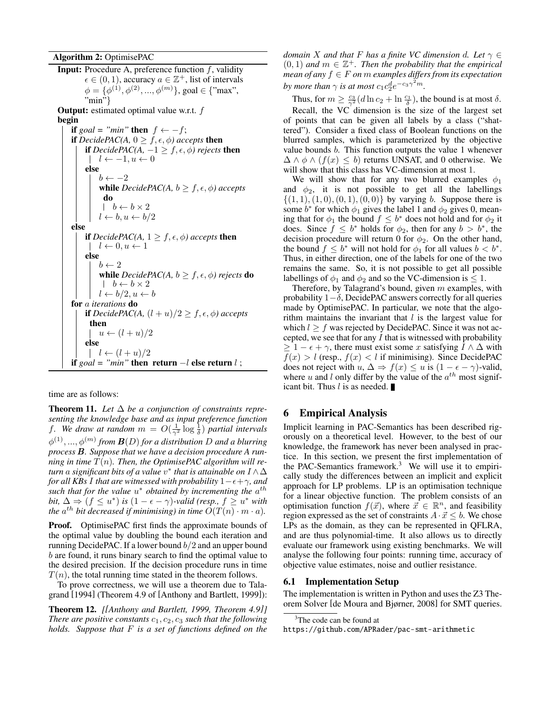Algorithm 2: OptimisePAC **Input:** Procedure A, preference function  $f$ , validity  $\epsilon \in (0, 1)$ , accuracy  $a \in \mathbb{Z}^+$ , list of intervals  $\phi = {\phi}^{(1)}, \phi^{(2)}, ..., \phi^{(m)}$ }, goal  $\in \{$ "max",  $\cdot$ <sup>n</sup>min<sup>5</sup>} **Output:** estimated optimal value w.r.t.  $f$ begin if *goal* = "min" then  $f \leftarrow -f$ ; if *DecidePAC(A,*  $0 \geq f, \epsilon, \phi$ *)* accepts then if *DecidePAC(A, -1 > f,*  $\epsilon$ *,*  $\phi$ *) rejects* then  $l \leftarrow -1, u \leftarrow 0$ else  $b \leftarrow -2$ **while**  $DecidePAC(A, b \geq f, \epsilon, \phi)$  accepts do  $\hphantom{b} \mid \hphantom{b} b \leftarrow b \times 2$  $l \leftarrow b, u \leftarrow b/2$ else if *DecidePAC(A,*  $1 \geq f, \epsilon, \phi$ ) *accepts* then  $l \leftarrow 0, u \leftarrow 1$ else  $b \leftarrow 2$ while *DecidePAC(A, b*  $\geq f, \epsilon, \phi$ ) rejects **do**  $b \leftarrow b \times 2$  $l \leftarrow b/2, u \leftarrow b$ for a *iterations* do if *DecidePAC(A,*  $(l + u)/2 \ge f, \epsilon, \phi$ ) accepts then  $|u \leftarrow (l+u)/2$ else  $l \leftarrow (l+u)/2$ if  $\textit{goal} = "min"$  then return  $-l$  else return  $l$ ;

<span id="page-4-0"></span>time are as follows:

**Theorem 11.** Let  $\Delta$  be a conjunction of constraints repre*senting the knowledge base and as input preference function* f. We draw at random  $m = O(\frac{1}{\gamma^2} \log \frac{1}{\delta})$  partial intervals  $\phi^{(1)},...,\phi^{(m)}$  from  $\mathbf{B}(D)$  for a distribution  $D$  and a blurring *process* B*. Suppose that we have a decision procedure A running in time* T(n)*. Then, the OptimisePAC algorithm will return* a *significant bits of a value* v ∗ *that is attainable on* I ∧∆ *for all KBs I that are witnessed with probability*  $1-\epsilon+\gamma$ *, and* such that for the value  $u^*$  obtained by incrementing the  $a^{th}$ *bit,*  $\Delta \Rightarrow (f \leq u^*)$  *is*  $(1 - \epsilon - \gamma)$ -valid (resp.,  $f \geq u^*$  with the  $a^{th}$  bit decreased if minimising) in time  $O(T(n) \cdot m \cdot a)$ .

**Proof.** OptimisePAC first finds the approximate bounds of the optimal value by doubling the bound each iteration and running DecidePAC. If a lower bound  $b/2$  and an upper bound b are found, it runs binary search to find the optimal value to the desired precision. If the decision procedure runs in time  $T(n)$ , the total running time stated in the theorem follows.

To prove correctness, we will use a theorem due to Talagrand [\[1994\]](#page-7-16) (Theorem 4.9 of [\[Anthony and Bartlett, 1999\]](#page-7-17)):

Theorem 12. *[[\[Anthony and Bartlett, 1999,](#page-7-17) Theorem 4.9]] There are positive constants*  $c_1$ ,  $c_2$ ,  $c_3$  *such that the following holds. Suppose that* F *is a set of functions defined on the* *domain* X *and that* F *has a finite VC dimension d. Let*  $\gamma \in$  $(0, 1)$  and  $m \in \mathbb{Z}^+$ . Then the probability that the empirical *mean of any*  $f \in F$  *on*  $m$  *examples differs from its expectation* by more than  $\gamma$  is at most  $c_1 c_2^d e^{-c_3 \gamma^2 m}$ .

Thus, for  $m \ge \frac{c_3}{\gamma^2} (d \ln c_2 + \ln \frac{c_1}{\delta})$ , the bound is at most  $\delta$ . Recall, the VC dimension is the size of the largest set of points that can be given all labels by a class ("shattered"). Consider a fixed class of Boolean functions on the blurred samples, which is parameterized by the objective value bounds b. This function outputs the value 1 whenever  $\Delta \wedge \phi \wedge (f(x) \leq b)$  returns UNSAT, and 0 otherwise. We will show that this class has VC-dimension at most 1.

We will show that for any two blurred examples  $\phi_1$ and  $\phi_2$ , it is not possible to get all the labellings  $\{(1, 1), (1, 0), (0, 1), (0, 0)\}\$  by varying b. Suppose there is some  $b^*$  for which  $\phi_1$  gives the label 1 and  $\phi_2$  gives 0, meaning that for  $\phi_1$  the bound  $f \leq b^*$  does not hold and for  $\phi_2$  it does. Since  $f \leq b^*$  holds for  $\phi_2$ , then for any  $b > b^*$ , the decision procedure will return 0 for  $\phi_2$ . On the other hand, the bound  $f \leq b^*$  will not hold for  $\phi_1$  for all values  $b < b^*$ . Thus, in either direction, one of the labels for one of the two remains the same. So, it is not possible to get all possible labellings of  $\phi_1$  and  $\phi_2$  and so the VC-dimension is  $\leq 1$ .

Therefore, by Talagrand's bound, given  $m$  examples, with probability  $1-\delta$ , DecidePAC answers correctly for all queries made by OptimisePAC. In particular, we note that the algorithm maintains the invariant that  $l$  is the largest value for which  $l \geq f$  was rejected by DecidePAC. Since it was not accepted, we see that for any  $I$  that is witnessed with probability  $\geq 1 - \epsilon + \gamma$ , there must exist some x satisfying  $I \wedge \Delta$  with  $f(x) > l$  (resp.,  $f(x) < l$  if minimising). Since DecidePAC does not reject with  $u, \Delta \Rightarrow f(x) \le u$  is  $(1 - \epsilon - \gamma)$ -valid, where u and l only differ by the value of the  $a^{th}$  most significant bit. Thus  $l$  is as needed.

## 6 Empirical Analysis

Implicit learning in PAC-Semantics has been described rigorously on a theoretical level. However, to the best of our knowledge, the framework has never been analysed in practice. In this section, we present the first implementation of the PAC-Semantics framework.<sup>[3](#page-4-1)</sup> We will use it to empirically study the differences between an implicit and explicit approach for LP problems. LP is an optimisation technique for a linear objective function. The problem consists of an optimisation function  $f(\vec{x})$ , where  $\vec{x} \in \mathbb{R}^n$ , and feasibility region expressed as the set of constraints  $A \cdot \vec{x} \leq b$ . We chose LPs as the domain, as they can be represented in QFLRA, and are thus polynomial-time. It also allows us to directly evaluate our framework using existing benchmarks. We will analyse the following four points: running time, accuracy of objective value estimates, noise and outlier resistance.

#### 6.1 Implementation Setup

The implementation is written in Python and uses the Z3 Theorem Solver [\[de Moura and Bjørner, 2008\]](#page-7-18) for SMT queries.

<span id="page-4-1"></span><sup>&</sup>lt;sup>3</sup>The code can be found at

<https://github.com/APRader/pac-smt-arithmetic>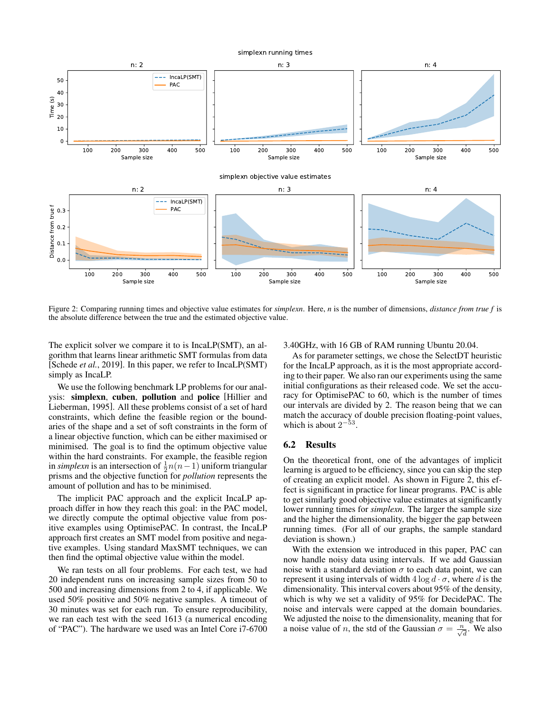<span id="page-5-0"></span>

Figure 2: Comparing running times and objective value estimates for *simplexn*. Here, *n* is the number of dimensions, *distance from true f* is the absolute difference between the true and the estimated objective value.

The explicit solver we compare it to is IncaLP(SMT), an algorithm that learns linear arithmetic SMT formulas from data [\[Schede](#page-7-10) *et al.*, 2019]. In this paper, we refer to IncaLP(SMT) simply as IncaLP.

We use the following benchmark LP problems for our analysis: simplexn, cuben, pollution and police [\[Hillier and](#page-7-19) [Lieberman, 1995\]](#page-7-19). All these problems consist of a set of hard constraints, which define the feasible region or the boundaries of the shape and a set of soft constraints in the form of a linear objective function, which can be either maximised or minimised. The goal is to find the optimum objective value within the hard constraints. For example, the feasible region in *simplexn* is an intersection of  $\frac{1}{2}n(n-1)$  uniform triangular prisms and the objective function for *pollution* represents the amount of pollution and has to be minimised.

The implicit PAC approach and the explicit IncaLP approach differ in how they reach this goal: in the PAC model, we directly compute the optimal objective value from positive examples using OptimisePAC. In contrast, the IncaLP approach first creates an SMT model from positive and negative examples. Using standard MaxSMT techniques, we can then find the optimal objective value within the model.

We ran tests on all four problems. For each test, we had 20 independent runs on increasing sample sizes from 50 to 500 and increasing dimensions from 2 to 4, if applicable. We used 50% positive and 50% negative samples. A timeout of 30 minutes was set for each run. To ensure reproducibility, we ran each test with the seed 1613 (a numerical encoding of "PAC"). The hardware we used was an Intel Core i7-6700 3.40GHz, with 16 GB of RAM running Ubuntu 20.04.

As for parameter settings, we chose the SelectDT heuristic for the IncaLP approach, as it is the most appropriate according to their paper. We also ran our experiments using the same initial configurations as their released code. We set the accuracy for OptimisePAC to 60, which is the number of times our intervals are divided by 2. The reason being that we can match the accuracy of double precision floating-point values, which is about  $2^{-53}$ .

#### 6.2 Results

On the theoretical front, one of the advantages of implicit learning is argued to be efficiency, since you can skip the step of creating an explicit model. As shown in Figure [2,](#page-5-0) this effect is significant in practice for linear programs. PAC is able to get similarly good objective value estimates at significantly lower running times for *simplexn*. The larger the sample size and the higher the dimensionality, the bigger the gap between running times. (For all of our graphs, the sample standard deviation is shown.)

With the extension we introduced in this paper, PAC can now handle noisy data using intervals. If we add Gaussian noise with a standard deviation  $\sigma$  to each data point, we can represent it using intervals of width  $4 \log d \cdot \sigma$ , where d is the dimensionality. This interval covers about 95% of the density, which is why we set a validity of 95% for DecidePAC. The noise and intervals were capped at the domain boundaries. We adjusted the noise to the dimensionality, meaning that for a noise value of *n*, the std of the Gaussian  $\sigma = \frac{n}{\sqrt{d}}$ . We also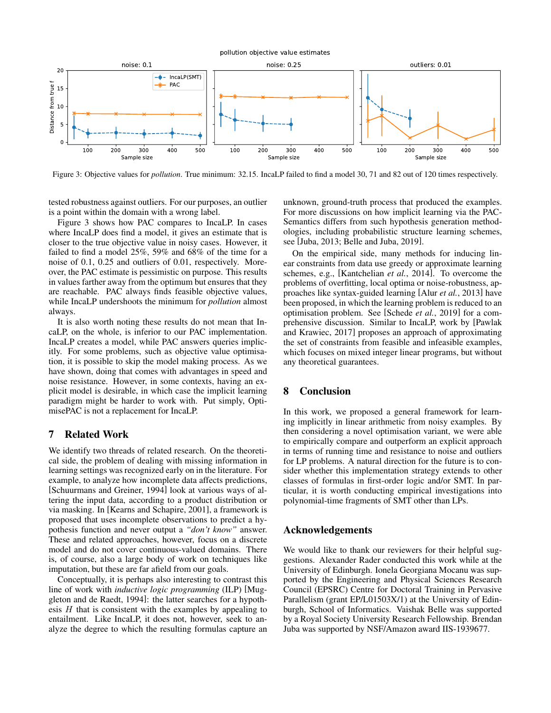pollution objective value estimates

<span id="page-6-0"></span>

Figure 3: Objective values for *pollution*. True minimum: 32.15. IncaLP failed to find a model 30, 71 and 82 out of 120 times respectively.

tested robustness against outliers. For our purposes, an outlier is a point within the domain with a wrong label.

Figure [3](#page-6-0) shows how PAC compares to IncaLP. In cases where IncaLP does find a model, it gives an estimate that is closer to the true objective value in noisy cases. However, it failed to find a model 25%, 59% and 68% of the time for a noise of 0.1, 0.25 and outliers of 0.01, respectively. Moreover, the PAC estimate is pessimistic on purpose. This results in values farther away from the optimum but ensures that they are reachable. PAC always finds feasible objective values, while IncaLP undershoots the minimum for *pollution* almost always.

It is also worth noting these results do not mean that IncaLP, on the whole, is inferior to our PAC implementation. IncaLP creates a model, while PAC answers queries implicitly. For some problems, such as objective value optimisation, it is possible to skip the model making process. As we have shown, doing that comes with advantages in speed and noise resistance. However, in some contexts, having an explicit model is desirable, in which case the implicit learning paradigm might be harder to work with. Put simply, OptimisePAC is not a replacement for IncaLP.

## 7 Related Work

We identify two threads of related research. On the theoretical side, the problem of dealing with missing information in learning settings was recognized early on in the literature. For example, to analyze how incomplete data affects predictions, [\[Schuurmans and Greiner, 1994\]](#page-7-20) look at various ways of altering the input data, according to a product distribution or via masking. In [\[Kearns and Schapire, 2001\]](#page-7-21), a framework is proposed that uses incomplete observations to predict a hypothesis function and never output a *"don't know"* answer. These and related approaches, however, focus on a discrete model and do not cover continuous-valued domains. There is, of course, also a large body of work on techniques like imputation, but these are far afield from our goals.

Conceptually, it is perhaps also interesting to contrast this line of work with *inductive logic programming* (ILP) [\[Mug](#page-7-22)[gleton and de Raedt, 1994\]](#page-7-22): the latter searches for a hypothesis  $H$  that is consistent with the examples by appealing to entailment. Like IncaLP, it does not, however, seek to analyze the degree to which the resulting formulas capture an unknown, ground-truth process that produced the examples. For more discussions on how implicit learning via the PAC-Semantics differs from such hypothesis generation methodologies, including probabilistic structure learning schemes, see [\[Juba, 2013;](#page-7-7) [Belle and Juba, 2019\]](#page-7-8).

On the empirical side, many methods for inducing linear constraints from data use greedy or approximate learning schemes, e.g., [\[Kantchelian](#page-7-23) *et al.*, 2014]. To overcome the problems of overfitting, local optima or noise-robustness, approaches like syntax-guided learning [Alur *et al.*[, 2013\]](#page-7-24) have been proposed, in which the learning problem is reduced to an optimisation problem. See [\[Schede](#page-7-10) *et al.*, 2019] for a comprehensive discussion. Similar to IncaLP, work by [\[Pawlak](#page-7-25) [and Krawiec, 2017\]](#page-7-25) proposes an approach of approximating the set of constraints from feasible and infeasible examples, which focuses on mixed integer linear programs, but without any theoretical guarantees.

## 8 Conclusion

In this work, we proposed a general framework for learning implicitly in linear arithmetic from noisy examples. By then considering a novel optimisation variant, we were able to empirically compare and outperform an explicit approach in terms of running time and resistance to noise and outliers for LP problems. A natural direction for the future is to consider whether this implementation strategy extends to other classes of formulas in first-order logic and/or SMT. In particular, it is worth conducting empirical investigations into polynomial-time fragments of SMT other than LPs.

## Acknowledgements

We would like to thank our reviewers for their helpful suggestions. Alexander Rader conducted this work while at the University of Edinburgh. Ionela Georgiana Mocanu was supported by the Engineering and Physical Sciences Research Council (EPSRC) Centre for Doctoral Training in Pervasive Parallelism (grant EP/L01503X/1) at the University of Edinburgh, School of Informatics. Vaishak Belle was supported by a Royal Society University Research Fellowship. Brendan Juba was supported by NSF/Amazon award IIS-1939677.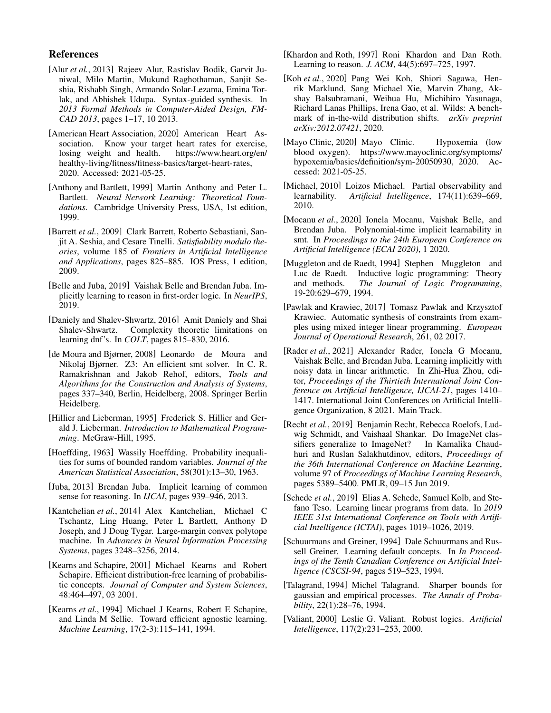## References

- <span id="page-7-24"></span>[Alur *et al.*, 2013] Rajeev Alur, Rastislav Bodik, Garvit Juniwal, Milo Martin, Mukund Raghothaman, Sanjit Seshia, Rishabh Singh, Armando Solar-Lezama, Emina Torlak, and Abhishek Udupa. Syntax-guided synthesis. In *2013 Formal Methods in Computer-Aided Design, FM-CAD 2013*, pages 1–17, 10 2013.
- <span id="page-7-15"></span>[American Heart Association, 2020] American Heart Association. Know your target heart rates for exercise, losing weight and health. [https://www.heart.org/en/](https://www.heart.org/en/healthy-living/fitness/fitness-basics/target-heart-rates) [healthy-living/fitness/fitness-basics/target-heart-rates,](https://www.heart.org/en/healthy-living/fitness/fitness-basics/target-heart-rates) 2020. Accessed: 2021-05-25.
- <span id="page-7-17"></span>[Anthony and Bartlett, 1999] Martin Anthony and Peter L. Bartlett. *Neural Network Learning: Theoretical Foundations*. Cambridge University Press, USA, 1st edition, 1999.
- <span id="page-7-11"></span>[Barrett *et al.*, 2009] Clark Barrett, Roberto Sebastiani, Sanjit A. Seshia, and Cesare Tinelli. *Satisfiability modulo theories*, volume 185 of *Frontiers in Artificial Intelligence and Applications*, pages 825–885. IOS Press, 1 edition, 2009.
- <span id="page-7-8"></span>[Belle and Juba, 2019] Vaishak Belle and Brendan Juba. Implicitly learning to reason in first-order logic. In *NeurIPS*, 2019.
- <span id="page-7-5"></span>[Daniely and Shalev-Shwartz, 2016] Amit Daniely and Shai Shalev-Shwartz. Complexity theoretic limitations on learning dnf's. In *COLT*, pages 815–830, 2016.
- <span id="page-7-18"></span>[de Moura and Bjørner, 2008] Leonardo de Moura and Nikolaj Bjørner. Z3: An efficient smt solver. In C. R. Ramakrishnan and Jakob Rehof, editors, *Tools and Algorithms for the Construction and Analysis of Systems*, pages 337–340, Berlin, Heidelberg, 2008. Springer Berlin Heidelberg.
- <span id="page-7-19"></span>[Hillier and Lieberman, 1995] Frederick S. Hillier and Gerald J. Lieberman. *Introduction to Mathematical Programming*. McGraw-Hill, 1995.
- <span id="page-7-12"></span>[Hoeffding, 1963] Wassily Hoeffding. Probability inequalities for sums of bounded random variables. *Journal of the American Statistical Association*, 58(301):13–30, 1963.
- <span id="page-7-7"></span>[Juba, 2013] Brendan Juba. Implicit learning of common sense for reasoning. In *IJCAI*, pages 939–946, 2013.
- <span id="page-7-23"></span>[Kantchelian *et al.*, 2014] Alex Kantchelian, Michael C Tschantz, Ling Huang, Peter L Bartlett, Anthony D Joseph, and J Doug Tygar. Large-margin convex polytope machine. In *Advances in Neural Information Processing Systems*, pages 3248–3256, 2014.
- <span id="page-7-21"></span>[Kearns and Schapire, 2001] Michael Kearns and Robert Schapire. Efficient distribution-free learning of probabilistic concepts. *Journal of Computer and System Sciences*, 48:464–497, 03 2001.
- <span id="page-7-4"></span>[Kearns *et al.*, 1994] Michael J Kearns, Robert E Schapire, and Linda M Sellie. Toward efficient agnostic learning. *Machine Learning*, 17(2-3):115–141, 1994.
- <span id="page-7-6"></span>[Khardon and Roth, 1997] Roni Khardon and Dan Roth. Learning to reason. *J. ACM*, 44(5):697–725, 1997.
- <span id="page-7-1"></span>[Koh *et al.*, 2020] Pang Wei Koh, Shiori Sagawa, Henrik Marklund, Sang Michael Xie, Marvin Zhang, Akshay Balsubramani, Weihua Hu, Michihiro Yasunaga, Richard Lanas Phillips, Irena Gao, et al. Wilds: A benchmark of in-the-wild distribution shifts. *arXiv preprint arXiv:2012.07421*, 2020.
- <span id="page-7-14"></span>[Mayo Clinic, 2020] Mayo Clinic. Hypoxemia (low blood oxygen). [https://www.mayoclinic.org/symptoms/](https://www.mayoclinic.org/symptoms/hypoxemia/basics/definition/sym-20050930) [hypoxemia/basics/definition/sym-20050930,](https://www.mayoclinic.org/symptoms/hypoxemia/basics/definition/sym-20050930) 2020. Accessed: 2021-05-25.
- <span id="page-7-13"></span>[Michael, 2010] Loizos Michael. Partial observability and learnability. *Artificial Intelligence*, 174(11):639–669, 2010.
- <span id="page-7-9"></span>[Mocanu *et al.*, 2020] Ionela Mocanu, Vaishak Belle, and Brendan Juba. Polynomial-time implicit learnability in smt. In *Proceedings to the 24th European Conference on Artificial Intelligence (ECAI 2020)*, 1 2020.
- <span id="page-7-22"></span>[Muggleton and de Raedt, 1994] Stephen Muggleton and Luc de Raedt. Inductive logic programming: Theory and methods. *The Journal of Logic Programming*, 19-20:629–679, 1994.
- <span id="page-7-25"></span>[Pawlak and Krawiec, 2017] Tomasz Pawlak and Krzysztof Krawiec. Automatic synthesis of constraints from examples using mixed integer linear programming. *European Journal of Operational Research*, 261, 02 2017.
- <span id="page-7-2"></span>[Rader *et al.*, 2021] Alexander Rader, Ionela G Mocanu, Vaishak Belle, and Brendan Juba. Learning implicitly with noisy data in linear arithmetic. In Zhi-Hua Zhou, editor, *Proceedings of the Thirtieth International Joint Conference on Artificial Intelligence, IJCAI-21*, pages 1410– 1417. International Joint Conferences on Artificial Intelligence Organization, 8 2021. Main Track.
- <span id="page-7-0"></span>[Recht *et al.*, 2019] Benjamin Recht, Rebecca Roelofs, Ludwig Schmidt, and Vaishaal Shankar. Do ImageNet classifiers generalize to ImageNet? In Kamalika Chaudhuri and Ruslan Salakhutdinov, editors, *Proceedings of the 36th International Conference on Machine Learning*, volume 97 of *Proceedings of Machine Learning Research*, pages 5389–5400. PMLR, 09–15 Jun 2019.
- <span id="page-7-10"></span>[Schede *et al.*, 2019] Elias A. Schede, Samuel Kolb, and Stefano Teso. Learning linear programs from data. In *2019 IEEE 31st International Conference on Tools with Artificial Intelligence (ICTAI)*, pages 1019–1026, 2019.
- <span id="page-7-20"></span>[Schuurmans and Greiner, 1994] Dale Schuurmans and Russell Greiner. Learning default concepts. In *In Proceedings of the Tenth Canadian Conference on Artificial Intelligence (CSCSI-94*, pages 519–523, 1994.
- <span id="page-7-16"></span>[Talagrand, 1994] Michel Talagrand. Sharper bounds for gaussian and empirical processes. *The Annals of Probability*, 22(1):28–76, 1994.
- <span id="page-7-3"></span>[Valiant, 2000] Leslie G. Valiant. Robust logics. *Artificial Intelligence*, 117(2):231–253, 2000.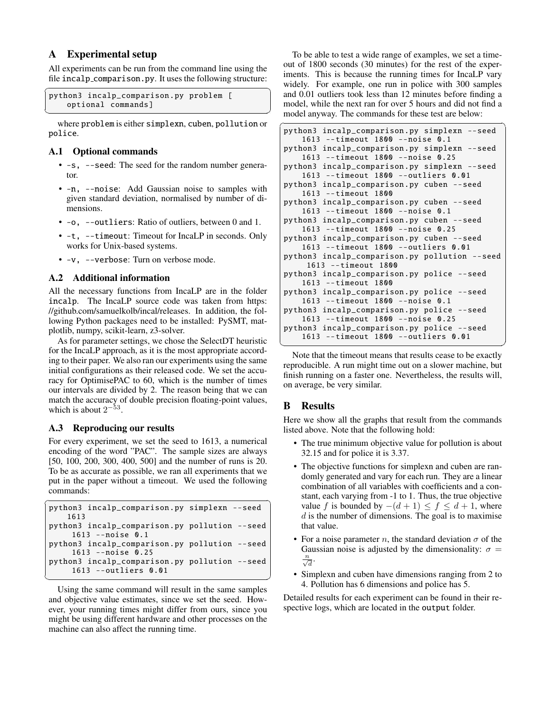## A Experimental setup

All experiments can be run from the command line using the file incalp comparison.py. It uses the following structure:

```
✞ ☎
python3 incalp_comparison .py problem [
                  optional commands]
\overline{\phantom{a}} \overline{\phantom{a}} \overline{\phantom{a}} \overline{\phantom{a}} \overline{\phantom{a}} \overline{\phantom{a}} \overline{\phantom{a}} \overline{\phantom{a}} \overline{\phantom{a}} \overline{\phantom{a}} \overline{\phantom{a}} \overline{\phantom{a}} \overline{\phantom{a}} \overline{\phantom{a}} \overline{\phantom{a}} \overline{\phantom{a}} \overline{\phantom{a}} \overline{\phantom{a}} \overline{\
```
where problem is either simplexn, cuben, pollution or police.

### A.1 Optional commands

- -s, --seed: The seed for the random number generator.
- -n, --noise: Add Gaussian noise to samples with given standard deviation, normalised by number of dimensions.
- -o, --outliers: Ratio of outliers, between 0 and 1.
- -t, --timeout: Timeout for IncaLP in seconds. Only works for Unix-based systems.
- -v, --verbose: Turn on verbose mode.

### A.2 Additional information

All the necessary functions from IncaLP are in the folder incalp. The IncaLP source code was taken from [https:](https://github.com/samuelkolb/incal/releases) [//github.com/samuelkolb/incal/releases.](https://github.com/samuelkolb/incal/releases) In addition, the following Python packages need to be installed: PySMT, matplotlib, numpy, scikit-learn, z3-solver.

As for parameter settings, we chose the SelectDT heuristic for the IncaLP approach, as it is the most appropriate according to their paper. We also ran our experiments using the same initial configurations as their released code. We set the accuracy for OptimisePAC to 60, which is the number of times our intervals are divided by 2. The reason being that we can match the accuracy of double precision floating-point values, which is about  $2^{-53}$ .

## A.3 Reproducing our results

For every experiment, we set the seed to 1613, a numerical encoding of the word "PAC". The sample sizes are always [50, 100, 200, 300, 400, 500] and the number of runs is 20. To be as accurate as possible, we ran all experiments that we put in the paper without a timeout. We used the following commands:

```
✞ ☎
python3 incalp_comparison .py simplexn --seed
    1613
python3 incalp_comparison .py pollution --seed
     1613 --noise 0.1
python3 incalp_comparison .py pollution --seed
     1613 --noise 0.25
python3 incalp_comparison .py pollution --seed
     1613 --outliers 0.01
\begin{pmatrix} 1 & 1 & 1 \\ 1 & 1 & 1 \\ 1 & 1 & 1 \end{pmatrix}
```
Using the same command will result in the same samples and objective value estimates, since we set the seed. However, your running times might differ from ours, since you might be using different hardware and other processes on the machine can also affect the running time.

To be able to test a wide range of examples, we set a timeout of 1800 seconds (30 minutes) for the rest of the experiments. This is because the running times for IncaLP vary widely. For example, one run in police with 300 samples and 0.01 outliers took less than 12 minutes before finding a model, while the next ran for over 5 hours and did not find a model anyway. The commands for these test are below:

```
✞ ☎
python3 incalp_comparison .py simplexn --seed
    1613 --timeout 1800 --noise 0.1
python3 incalp_comparison .py simplexn --seed
    1613 --timeout 1800 --noise 0.25
python3 incalp_comparison .py simplexn --seed
    1613 --timeout 1800 --outliers 0.01
python3 incalp_comparison .py cuben --seed
    1613 --timeout 1800
python3 incalp_comparison .py cuben --seed
    1613 --timeout 1800 --noise 0.1
python3 incalp_comparison .py cuben --seed
    1613 --timeout 1800 --noise 0.25
python3 incalp_comparison .py cuben --seed
    1613 --timeout 1800 --outliers 0.01
python3 incalp_comparison .py pollution --seed
     1613 --timeout 1800
python3 incalp_comparison .py police --seed
    1613 --timeout 1800
python3 incalp_comparison .py police --seed
    1613 --timeout 1800 --noise 0.1
python3 incalp_comparison .py police --seed
    1613 --timeout 1800 --noise 0.25
python3 incalp_comparison .py police --seed
    1613 --timeout 1800 --outliers 0.01
✝ ✆
```
Note that the timeout means that results cease to be exactly reproducible. A run might time out on a slower machine, but finish running on a faster one. Nevertheless, the results will, on average, be very similar.

## B Results

Here we show all the graphs that result from the commands listed above. Note that the following hold:

- The true minimum objective value for pollution is about 32.15 and for police it is 3.37.
- The objective functions for simplexn and cuben are randomly generated and vary for each run. They are a linear combination of all variables with coefficients and a constant, each varying from -1 to 1. Thus, the true objective value f is bounded by  $-(d+1)$  ≤  $f$  ≤  $d+1$ , where  $d$  is the number of dimensions. The goal is to maximise that value.
- For a noise parameter n, the standard deviation  $\sigma$  of the Gaussian noise is adjusted by the dimensionality:  $\sigma =$  $\frac{n}{\sqrt{d}}$ .
- Simplexn and cuben have dimensions ranging from 2 to 4. Pollution has 6 dimensions and police has 5.

Detailed results for each experiment can be found in their respective logs, which are located in the output folder.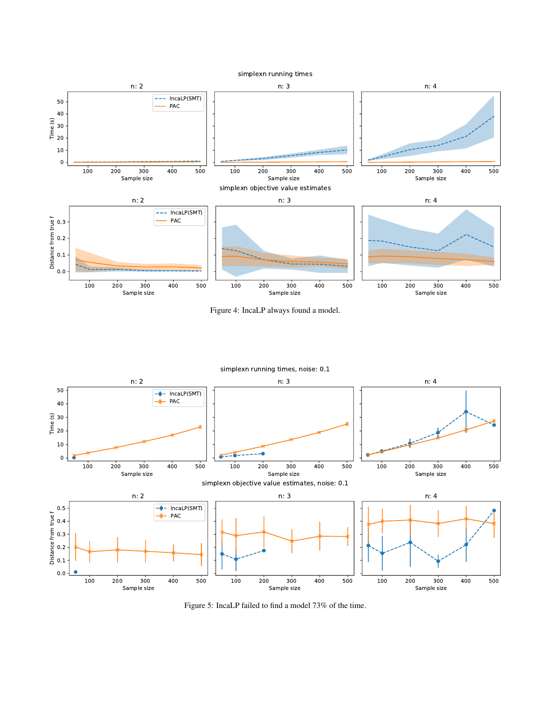

Figure 4: IncaLP always found a model.



Figure 5: IncaLP failed to find a model 73% of the time.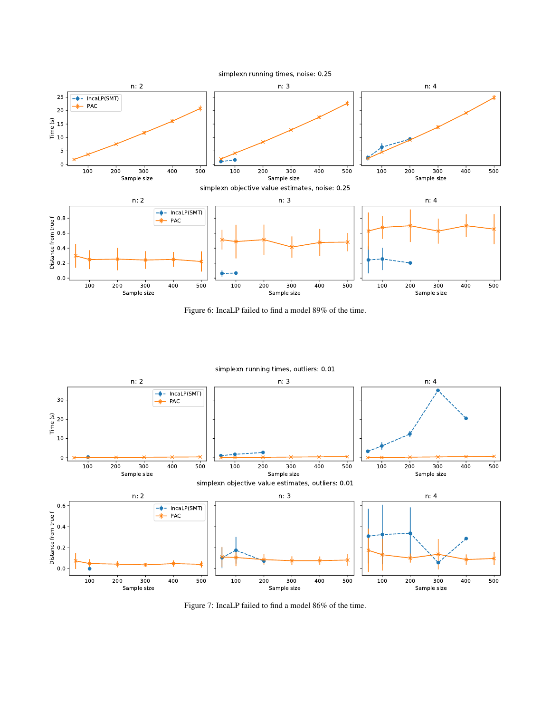

Figure 6: IncaLP failed to find a model 89% of the time.



Figure 7: IncaLP failed to find a model 86% of the time.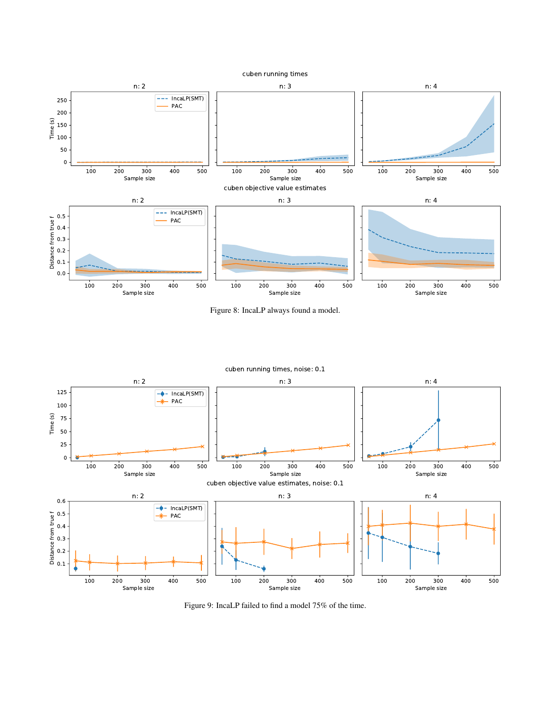

Figure 8: IncaLP always found a model.



Figure 9: IncaLP failed to find a model 75% of the time.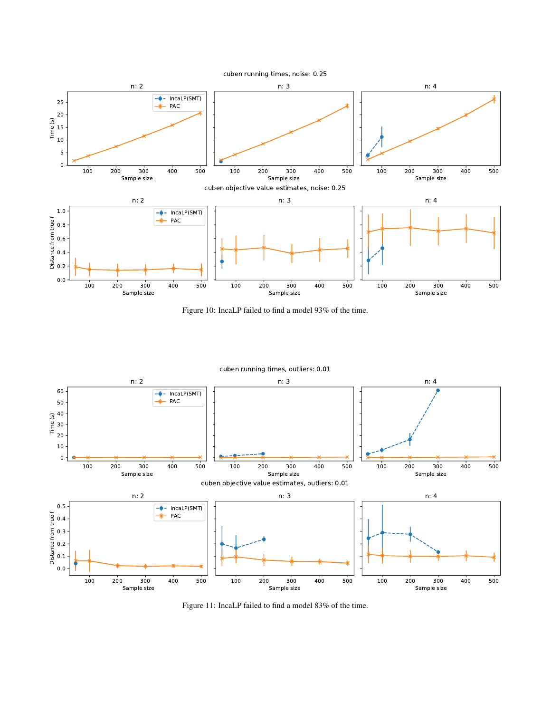

Figure 10: IncaLP failed to find a model 93% of the time.



Figure 11: IncaLP failed to find a model 83% of the time.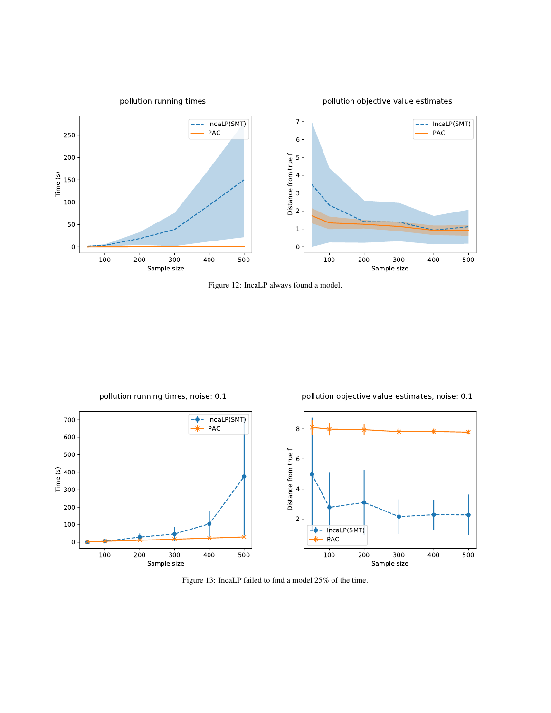

Figure 12: IncaLP always found a model.



Figure 13: IncaLP failed to find a model 25% of the time.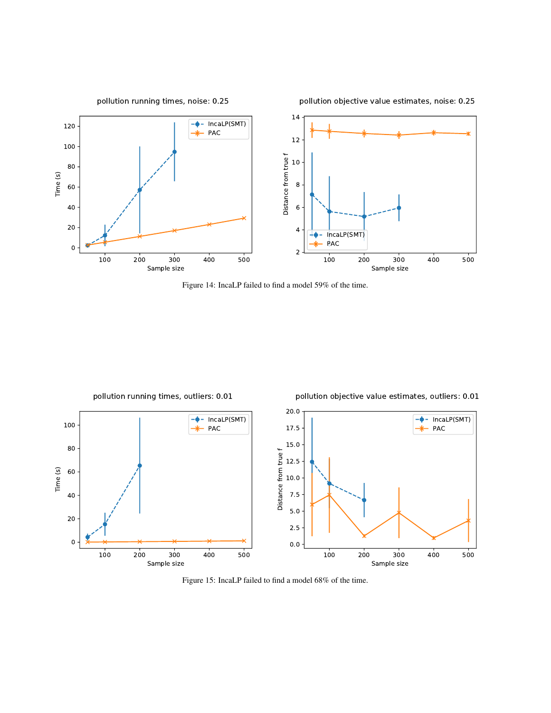

Figure 14: IncaLP failed to find a model 59% of the time.



pollution running times, outliers: 0.01

pollution objective value estimates, outliers: 0.01

Figure 15: IncaLP failed to find a model 68% of the time.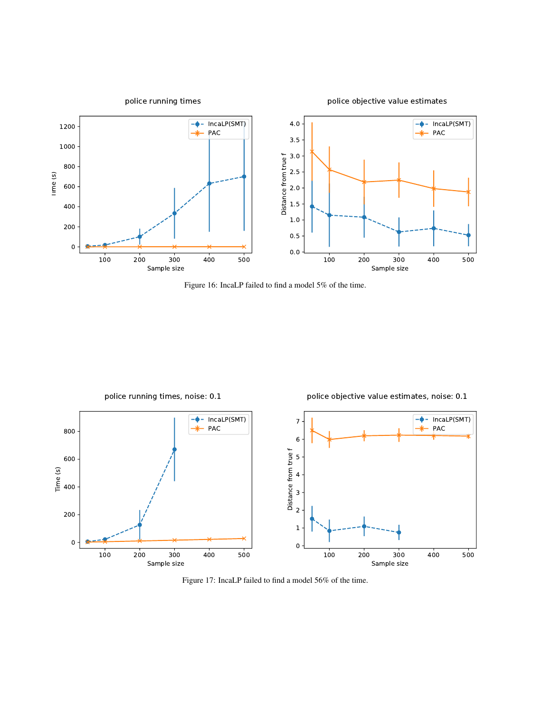

Figure 16: IncaLP failed to find a model 5% of the time.



Figure 17: IncaLP failed to find a model 56% of the time.